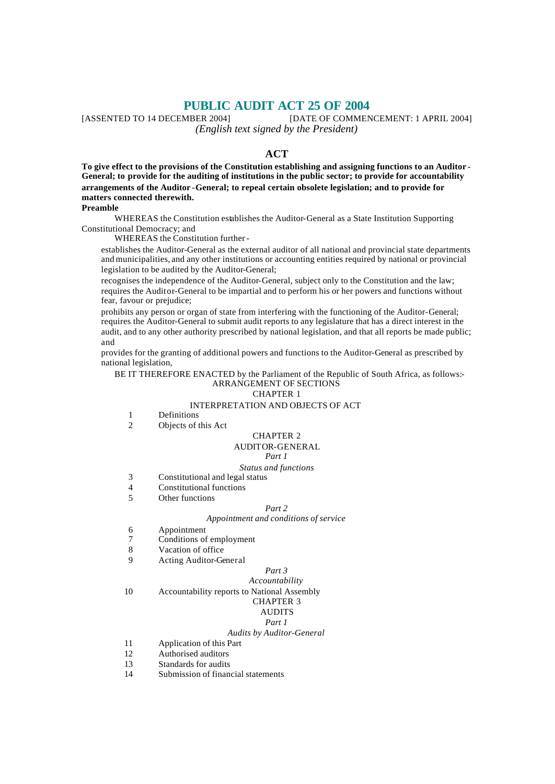**PUBLIC AUDIT ACT 25 OF 2004**<br>[DATE OF COMMENTED TO 14 DECEMBER 2004] [DATE OF COMMENTED [DATE OF COMMENCEMENT: 1 APRIL 2004] *(English text signed by the President)*

# **ACT**

**To give effect to the provisions of the Constitution establishing and assigning functions to an Auditor - General; to provide for the auditing of institutions in the public sector; to provide for accountability arrangements of the Auditor -General; to repeal certain obsolete legislation; and to provide for matters connected therewith.**

# **Preamble**

WHEREAS the Constitution establishes the Auditor-General as a State Institution Supporting Constitutional Democracy; and

WHEREAS the Constitution further -

establishes the Auditor-General as the external auditor of all national and provincial state departments and municipalities, and any other institutions or accounting entities required by national or provincial legislation to be audited by the Auditor-General;

recognises the independence of the Auditor-General, subject only to the Constitution and the law; requires the Auditor-General to be impartial and to perform his or her powers and functions without fear, favour or prejudice;

prohibits any person or organ of state from interfering with the functioning of the Auditor-General; requires the Auditor-General to submit audit reports to any legislature that has a direct interest in the audit, and to any other authority prescribed by national legislation, and that all reports be made public; and

provides for the granting of additional powers and functions to the Auditor-General as prescribed by national legislation,

BE IT THEREFORE ENACTED by the Parliament of the Republic of South Africa, as follows:- ARRANGEMENT OF SECTIONS

#### CHAPTER 1

## INTERPRETATION AND OBJECTS OF ACT

- 1 Definitions
- 2 Objects of this Act

#### CHAPTER 2 AUDITOR-GENERAL

# *Part 1*

#### *Status and functions*

- 3 Constitutional and legal status
- 4 Constitutional functions
- 5 Other functions

## *Part 2*

# *Appointment and conditions of service*

- 6 Appointment
- 7 Conditions of employment
- 8 Vacation of office
- 9 Acting Auditor-General

#### *Part 3 Accountability*

10 Accountability reports to National Assembly CHAPTER 3

# AUDITS

# *Part 1*

# *Audits by Auditor-General*

- 11 Application of this Part
- 12 Authorised auditors
- 13 Standards for audits
- 14 Submission of financial statements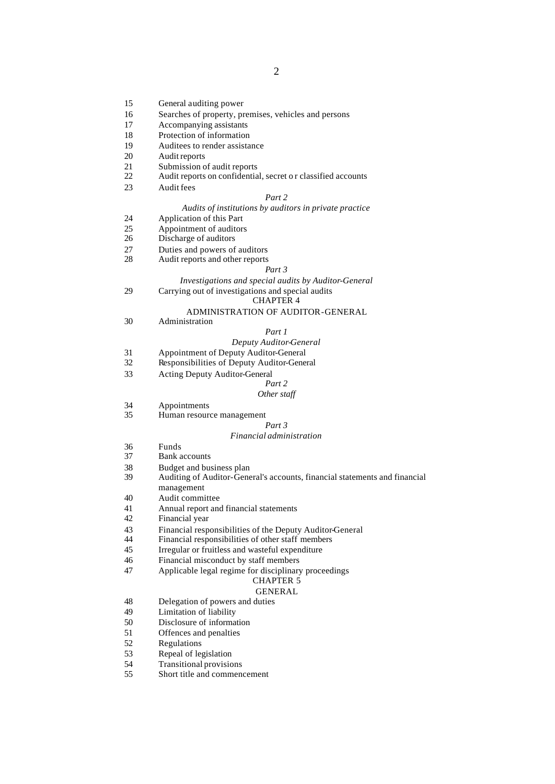- 15 General auditing power
- 16 Searches of property, premises, vehicles and persons
- 17 Accompanying assistants
- 18 Protection of information
- 19 Auditees to render assistance
- 20 Audit reports
- 21 Submission of audit reports<br>22 Audit reports on confidentia
- Audit reports on confidential, secret or classified accounts
- 23 Audit fees

## *Part 2*

# *Audits of institutions by auditors in private practice*

- 24 Application of this Part<br>25 Appointment of auditors
- 25 Appointment of auditors<br>26 Discharge of auditors
- Discharge of auditors
- 27 Duties and powers of auditors<br>28 Audit reports and other reports
- Audit reports and other reports

#### *Part 3*

## *Investigations and special audits by Auditor-General* 29 Carrying out of investigations and special audits

## CHAPTER 4

## ADMINISTRATION OF AUDITOR-GENERAL

30 Administration

## *Part 1*

- *Deputy Auditor-General*
- 31 Appointment of Deputy Auditor-General
- 32 Responsibilities of Deputy Auditor-General
- 33 Acting Deputy Auditor-General

#### *Part 2*

## *Other staff*

- 34 Appointments
- 35 Human resource management

# *Part 3*

#### *Financial administration*

- 36 Funds<br>37 Bank a
- Bank accounts
- 38 Budget and business plan<br>39 Auditing of Auditor-Gene
- Auditing of Auditor-General's accounts, financial statements and financial management
- 40 Audit committee
- 41 Annual report and financial statements<br>42 Financial vear
- Financial year
- 43 Financial responsibilities of the Deputy Auditor-General<br>44 Financial responsibilities of other staff members
- Financial responsibilities of other staff members
- 45 Irregular or fruitless and wasteful expenditure
- 46 Financial misconduct by staff members
- 47 Applicable legal regime for disciplinary proceedings
	- CHAPTER 5

# GENERAL

- 48 Delegation of powers and duties
- 49 Limitation of liability
- 50 Disclosure of information
- 51 Offences and penalties
- 52 Regulations
- 53 Repeal of legislation
- 54 Transitional provisions
- 55 Short title and commencement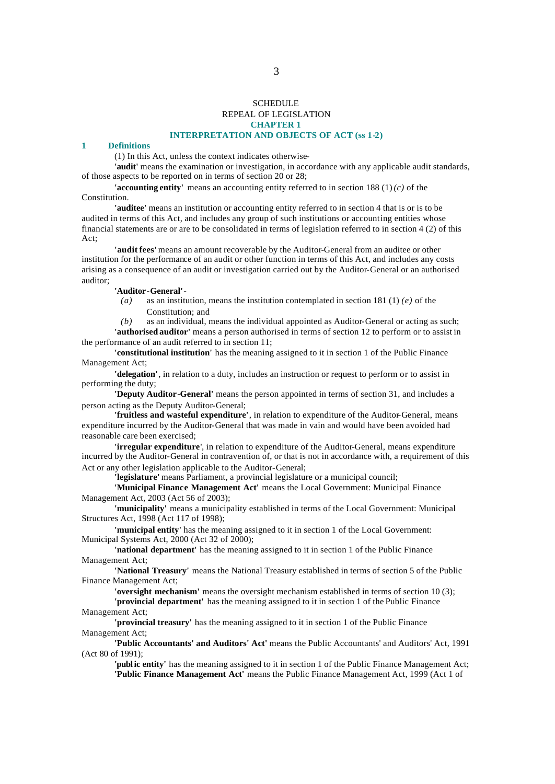# SCHEDULE REPEAL OF LEGISLATION **CHAPTER 1**

## **INTERPRETATION AND OBJECTS OF ACT (ss 1-2)**

## **1 Definitions**

(1) In this Act, unless the context indicates otherwise-

**'audit'** means the examination or investigation, in accordance with any applicable audit standards, of those aspects to be reported on in terms of section 20 or 28;

**'accounting entity'** means an accounting entity referred to in section 188 (1) *(c)* of the Constitution.

**'auditee'** means an institution or accounting entity referred to in section 4 that is or is to be audited in terms of this Act, and includes any group of such institutions or accounting entities whose financial statements are or are to be consolidated in terms of legislation referred to in section 4 (2) of this Act;

**'audit fees'** means an amount recoverable by the Auditor-General from an auditee or other institution for the performance of an audit or other function in terms of this Act, and includes any costs arising as a consequence of an audit or investigation carried out by the Auditor-General or an authorised auditor;

## **'Auditor-General'**-

*(a)* as an institution, means the institution contemplated in section 181 (1) *(e)* of the Constitution; and

*(b)* as an individual, means the individual appointed as Auditor-General or acting as such; **'authorised auditor'** means a person authorised in terms of section 12 to perform or to assist in the performance of an audit referred to in section 11;

**'constitutional institution'** has the meaning assigned to it in section 1 of the Public Finance Management Act;

**'delegation'**, in relation to a duty, includes an instruction or request to perform or to assist in performing the duty;

**'Deputy Auditor-General'** means the person appointed in terms of section 31, and includes a person acting as the Deputy Auditor-General;

**'fruitless and wasteful expenditure'**, in relation to expenditure of the Auditor-General, means expenditure incurred by the Auditor-General that was made in vain and would have been avoided had reasonable care been exercised;

**'irregular expenditure'**, in relation to expenditure of the Auditor-General, means expenditure incurred by the Auditor-General in contravention of, or that is not in accordance with, a requirement of this Act or any other legislation applicable to the Auditor-General;

**'legislature'** means Parliament, a provincial legislature or a municipal council;

**'Municipal Finance Management Act'** means the Local Government: Municipal Finance Management Act, 2003 (Act 56 of 2003);

**'municipality'** means a municipality established in terms of the Local Government: Municipal Structures Act, 1998 (Act 117 of 1998);

**'municipal entity'** has the meaning assigned to it in section 1 of the Local Government: Municipal Systems Act, 2000 (Act 32 of 2000);

**'national department'** has the meaning assigned to it in section 1 of the Public Finance Management Act;

**'National Treasury'** means the National Treasury established in terms of section 5 of the Public Finance Management Act;

**'oversight mechanism'** means the oversight mechanism established in terms of section 10 (3);

**'provincial department'** has the meaning assigned to it in section 1 of the Public Finance Management Act;

**'provincial treasury'** has the meaning assigned to it in section 1 of the Public Finance Management Act;

**'Public Accountants' and Auditors' Act'** means the Public Accountants' and Auditors' Act, 1991 (Act 80 of 1991);

**'public entity'** has the meaning assigned to it in section 1 of the Public Finance Management Act; **'Public Finance Management Act'** means the Public Finance Management Act, 1999 (Act 1 of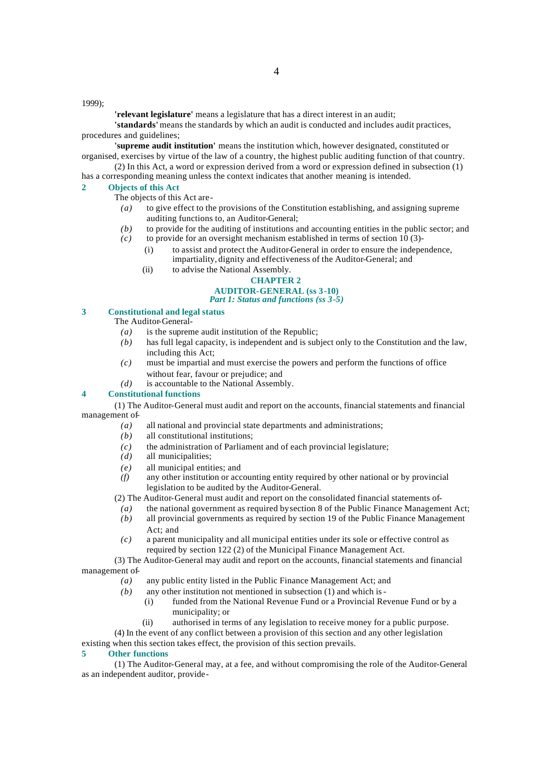1999);

**'relevant legislature'** means a legislature that has a direct interest in an audit;

**'standards'** means the standards by which an audit is conducted and includes audit practices, procedures and guidelines;

**'supreme audit institution'** means the institution which, however designated, constituted or organised, exercises by virtue of the law of a country, the highest public auditing function of that country.

(2) In this Act, a word or expression derived from a word or expression defined in subsection (1) has a corresponding meaning unless the context indicates that another meaning is intended.

## **2 Objects of this Act**

The objects of this Act are-

- *(a)* to give effect to the provisions of the Constitution establishing, and assigning supreme auditing functions to, an Auditor-General;
- *(b)* to provide for the auditing of institutions and accounting entities in the public sector; and
- $(c)$  to provide for an oversight mechanism established in terms of section 10 (3)-
	- (i) to assist and protect the Auditor-General in order to ensure the independence, impartiality, dignity and effectiveness of the Auditor-General; and
	- (ii) to advise the National Assembly.

#### **CHAPTER 2 AUDITOR-GENERAL (ss 3-10)**

# *Part 1: Status and functions (ss 3-5)*

# **3 Constitutional and legal status**

The Auditor-General-

- *(a)* is the supreme audit institution of the Republic;
- *(b)* has full legal capacity, is independent and is subject only to the Constitution and the law, including this Act;
- *(c)* must be impartial and must exercise the powers and perform the functions of office without fear, favour or prejudice; and
- *(d)* is accountable to the National Assembly.

## **4 Constitutional functions**

(1) The Auditor-General must audit and report on the accounts, financial statements and financial management of-

- *(a)* all national and provincial state departments and administrations;
- *(b)* all constitutional institutions;
- *(c)* the administration of Parliament and of each provincial legislature;
- *(d)* all municipalities;
- *(e)* all municipal entities; and
- *(f)* any other institution or accounting entity required by other national or by provincial legislation to be audited by the Auditor-General.

(2) The Auditor-General must audit and report on the consolidated financial statements of-

- *(a)* the national government as required by section 8 of the Public Finance Management Act; *(b)* all provincial governments as required by section 19 of the Public Finance Management Act; and
- *(c)* a parent municipality and all municipal entities under its sole or effective control as required by section 122 (2) of the Municipal Finance Management Act.
- (3) The Auditor-General may audit and report on the accounts, financial statements and financial management of-
	- *(a)* any public entity listed in the Public Finance Management Act; and
	- *(b)* any other institution not mentioned in subsection (1) and which is-
		- (i) funded from the National Revenue Fund or a Provincial Revenue Fund or by a municipality; or
		- (ii) authorised in terms of any legislation to receive money for a public purpose.
	- (4) In the event of any conflict between a provision of this section and any other legislation

existing when this section takes effect, the provision of this section prevails.

# **5 Other functions**

(1) The Auditor-General may, at a fee, and without compromising the role of the Auditor-General as an independent auditor, provide-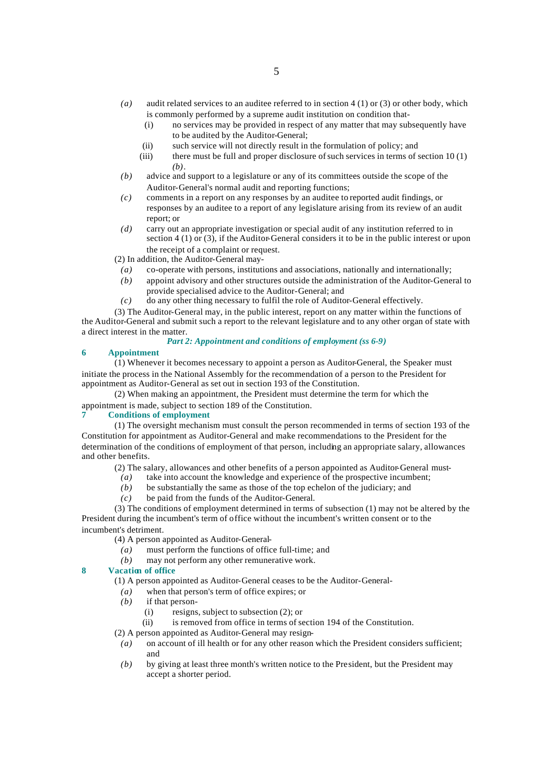- *(a)* audit related services to an auditee referred to in section 4 (1) or (3) or other body, which is commonly performed by a supreme audit institution on condition that-
	- (i) no services may be provided in respect of any matter that may subsequently have to be audited by the Auditor-General;
	- (ii) such service will not directly result in the formulation of policy; and
	- (iii) there must be full and proper disclosure of such services in terms of section 10 (1) *(b)*.
- *(b)* advice and support to a legislature or any of its committees outside the scope of the Auditor-General's normal audit and reporting functions;
- *(c)* comments in a report on any responses by an auditee to reported audit findings, or responses by an auditee to a report of any legislature arising from its review of an audit report; or
- *(d)* carry out an appropriate investigation or special audit of any institution referred to in section  $4(1)$  or  $(3)$ , if the Auditor-General considers it to be in the public interest or upon the receipt of a complaint or request.

(2) In addition, the Auditor-General may-

- *(a)* co-operate with persons, institutions and associations, nationally and internationally;
- *(b)* appoint advisory and other structures outside the administration of the Auditor-General to provide specialised advice to the Auditor-General; and
- *(c)* do any other thing necessary to fulfil the role of Auditor-General effectively.

(3) The Auditor-General may, in the public interest, report on any matter within the functions of the Auditor-General and submit such a report to the relevant legislature and to any other organ of state with a direct interest in the matter.

# *Part 2: Appointment and conditions of employment (ss 6-9)*

#### **6 Appointment**

(1) Whenever it becomes necessary to appoint a person as Auditor-General, the Speaker must initiate the process in the National Assembly for the recommendation of a person to the President for appointment as Auditor-General as set out in section 193 of the Constitution.

(2) When making an appointment, the President must determine the term for which the appointment is made, subject to section 189 of the Constitution.

#### **7 Conditions of employment**

(1) The oversight mechanism must consult the person recommended in terms of section 193 of the Constitution for appointment as Auditor-General and make recommendations to the President for the determination of the conditions of employment of that person, including an appropriate salary, allowances and other benefits.

(2) The salary, allowances and other benefits of a person appointed as Auditor-General must-

- *(a)* take into account the knowledge and experience of the prospective incumbent;
- *(b)* be substantially the same as those of the top echelon of the judiciary; and
- *(c)* be paid from the funds of the Auditor-General.

(3) The conditions of employment determined in terms of subsection (1) may not be altered by the President during the incumbent's term of office without the incumbent's written consent or to the incumbent's detriment.

(4) A person appointed as Auditor-General-

- *(a)* must perform the functions of office full-time; and
- *(b)* may not perform any other remunerative work.

## **8 Vacation of office**

(1) A person appointed as Auditor-General ceases to be the Auditor-General-

- *(a)* when that person's term of office expires; or
- *(b)* if that person-
	- (i) resigns, subject to subsection (2); or
- (ii) is removed from office in terms of section 194 of the Constitution.
- (2) A person appointed as Auditor-General may resign-
- *(a)* on account of ill health or for any other reason which the President considers sufficient; and
- *(b)* by giving at least three month's written notice to the President, but the President may accept a shorter period.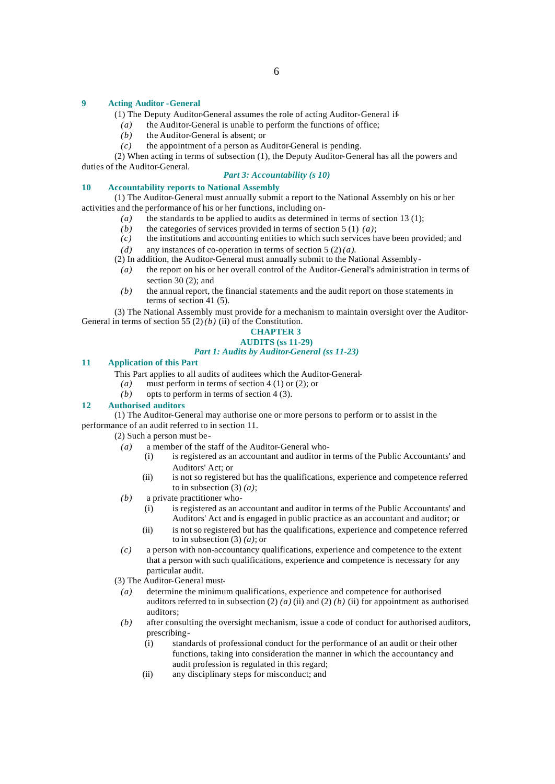## **9 Acting Auditor -General**

(1) The Deputy Auditor-General assumes the role of acting Auditor-General if-

*(a)* the Auditor-General is unable to perform the functions of office;

- *(b)* the Auditor-General is absent; or
- *(c)* the appointment of a person as Auditor-General is pending.

(2) When acting in terms of subsection (1), the Deputy Auditor-General has all the powers and duties of the Auditor-General.

## *Part 3: Accountability (s 10)*

# **10 Accountability reports to National Assembly**

(1) The Auditor-General must annually submit a report to the National Assembly on his or her activities and the performance of his or her functions, including on-

- *(a)* the standards to be applied to audits as determined in terms of section 13 (1);
- *(b)* the categories of services provided in terms of section 5 (1) *(a)*; *(c)* the institutions and accounting entities to which such services h
- the institutions and accounting entities to which such services have been provided; and
- *(d)* any instances of co-operation in terms of section 5 (2) *(a)*.
- (2) In addition, the Auditor-General must annually submit to the National Assembly-
	- *(a)* the report on his or her overall control of the Auditor-General's administration in terms of section 30 (2); and
- *(b)* the annual report, the financial statements and the audit report on those statements in terms of section 41 (5).

(3) The National Assembly must provide for a mechanism to maintain oversight over the Auditor-General in terms of section 55  $(2)(b)$  (ii) of the Constitution.

# **CHAPTER 3**

#### **AUDITS (ss 11-29)** *Part 1: Audits by Auditor-General (ss 11-23)*

## **11 Application of this Part**

This Part applies to all audits of auditees which the Auditor-General-

- *(a)* must perform in terms of section 4 (1) or (2); or
- *(b)* opts to perform in terms of section 4 (3).

#### **12 Authorised auditors**

(1) The Auditor-General may authorise one or more persons to perform or to assist in the performance of an audit referred to in section 11.

(2) Such a person must be-

- *(a)* a member of the staff of the Auditor-General who-
	- (i) is registered as an accountant and auditor in terms of the Public Accountants' and Auditors' Act; or
	- (ii) is not so registered but has the qualifications, experience and competence referred to in subsection  $(3)$   $(a)$ ;
- *(b)* a private practitioner who-
	- (i) is registered as an accountant and auditor in terms of the Public Accountants' and Auditors' Act and is engaged in public practice as an accountant and auditor; or
	- (ii) is not so registered but has the qualifications, experience and competence referred to in subsection (3) *(a)*; or
- *(c)* a person with non-accountancy qualifications, experience and competence to the extent that a person with such qualifications, experience and competence is necessary for any particular audit.

(3) The Auditor-General must-

- *(a)* determine the minimum qualifications, experience and competence for authorised auditors referred to in subsection (2) (a) (ii) and (2) (b) (ii) for appointment as authorised auditors;
- *(b)* after consulting the oversight mechanism, issue a code of conduct for authorised auditors, prescribing-
	- (i) standards of professional conduct for the performance of an audit or their other functions, taking into consideration the manner in which the accountancy and audit profession is regulated in this regard;
	- (ii) any disciplinary steps for misconduct; and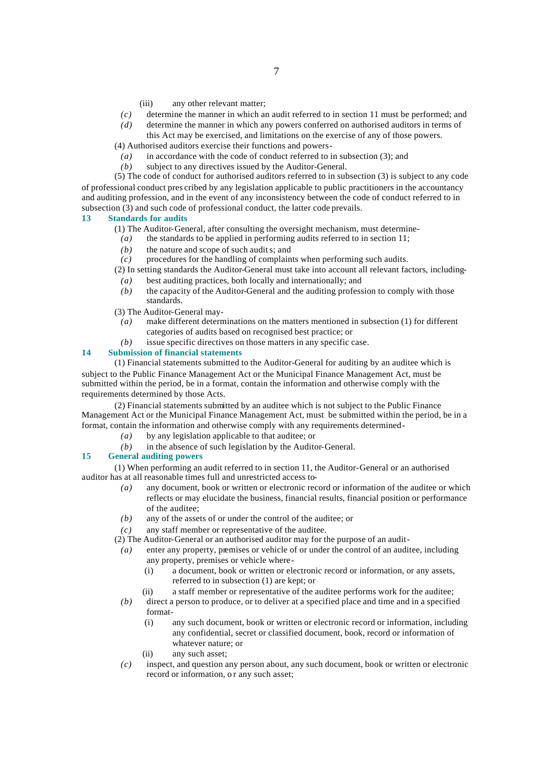- (iii) any other relevant matter;
- *(c)* determine the manner in which an audit referred to in section 11 must be performed; and
- *(d)* determine the manner in which any powers conferred on authorised auditors in terms of this Act may be exercised, and limitations on the exercise of any of those powers.

(4) Authorised auditors exercise their functions and powers-

- *(a)* in accordance with the code of conduct referred to in subsection (3); and
- *(b)* subject to any directives issued by the Auditor-General.

(5) The code of conduct for authorised auditors referred to in subsection (3) is subject to any code of professional conduct pres cribed by any legislation applicable to public practitioners in the accountancy and auditing profession, and in the event of any inconsistency between the code of conduct referred to in subsection (3) and such code of professional conduct, the latter code prevails.

# **13 Standards for audits**

(1) The Auditor-General, after consulting the oversight mechanism, must determine-

- *(a)* the standards to be applied in performing audits referred to in section 11;
- *(b)* the nature and scope of such audits; and
- *(c)* procedures for the handling of complaints when performing such audits.

(2) In setting standards the Auditor-General must take into account all relevant factors, including-

- *(a)* best auditing practices, both locally and internationally; and
- *(b)* the capacity of the Auditor-General and the auditing profession to comply with those standards.
- (3) The Auditor-General may-
	- *(a)* make different determinations on the matters mentioned in subsection (1) for different categories of audits based on recognised best practice; or
	- *(b)* issue specific directives on those matters in any specific case.

## **14 Submission of financial statements**

(1) Financial statements submitted to the Auditor-General for auditing by an auditee which is subject to the Public Finance Management Act or the Municipal Finance Management Act, must be submitted within the period, be in a format, contain the information and otherwise comply with the requirements determined by those Acts.

(2) Financial statements submitted by an auditee which is not subject to the Public Finance Management Act or the Municipal Finance Management Act, must be submitted within the period, be in a format, contain the information and otherwise comply with any requirements determined-

- *(a)* by any legislation applicable to that auditee; or
- *(b)* in the absence of such legislation by the Auditor-General.

# **15 General auditing powers**

(1) When performing an audit referred to in section 11, the Auditor-General or an authorised auditor has at all reasonable times full and unrestricted access to-

- *(a)* any document, book or written or electronic record or information of the auditee or which reflects or may elucidate the business, financial results, financial position or performance of the auditee;
- *(b)* any of the assets of or under the control of the auditee; or
- *(c)* any staff member or representative of the auditee.
- (2) The Auditor-General or an authorised auditor may for the purpose of an audit-
- *(a)* enter any property, premises or vehicle of or under the control of an auditee, including any property, premises or vehicle where-
	- (i) a document, book or written or electronic record or information, or any assets, referred to in subsection (1) are kept; or
	- (ii) a staff member or representative of the auditee performs work for the auditee;
- *(b)* direct a person to produce, or to deliver at a specified place and time and in a specified format-
	- (i) any such document, book or written or electronic record or information, including any confidential, secret or classified document, book, record or information of whatever nature; or
	- (ii) any such asset;
- *(c)* inspect, and question any person about, any such document, book or written or electronic record or information, or any such asset;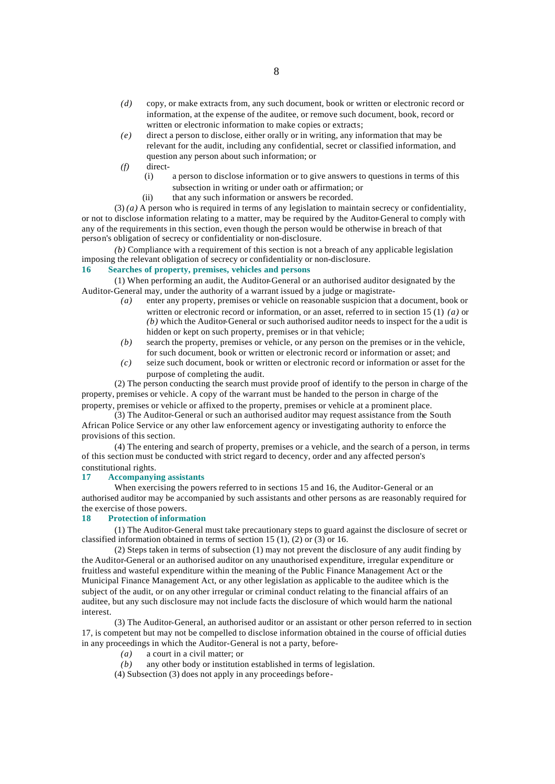- *(d)* copy, or make extracts from, any such document, book or written or electronic record or information, at the expense of the auditee, or remove such document, book, record or written or electronic information to make copies or extracts;
- *(e)* direct a person to disclose, either orally or in writing, any information that may be relevant for the audit, including any confidential, secret or classified information, and question any person about such information; or
- *(f)* direct-
	- (i) a person to disclose information or to give answers to questions in terms of this subsection in writing or under oath or affirmation; or
	- (ii) that any such information or answers be recorded.

(3) *(a)* A person who is required in terms of any legislation to maintain secrecy or confidentiality, or not to disclose information relating to a matter, may be required by the Auditor-General to comply with any of the requirements in this section, even though the person would be otherwise in breach of that person's obligation of secrecy or confidentiality or non-disclosure.

*(b)* Compliance with a requirement of this section is not a breach of any applicable legislation imposing the relevant obligation of secrecy or confidentiality or non-disclosure.

# **16 Searches of property, premises, vehicles and persons**

(1) When performing an audit, the Auditor-General or an authorised auditor designated by the Auditor-General may, under the authority of a warrant issued by a judge or magistrate-

- *(a)* enter any property, premises or vehicle on reasonable suspicion that a document, book or written or electronic record or information, or an asset, referred to in section 15 (1) *(a)* or *(b)* which the Auditor-General or such authorised auditor needs to inspect for the a udit is hidden or kept on such property, premises or in that vehicle;
- *(b)* search the property, premises or vehicle, or any person on the premises or in the vehicle, for such document, book or written or electronic record or information or asset; and
- *(c)* seize such document, book or written or electronic record or information or asset for the purpose of completing the audit.

(2) The person conducting the search must provide proof of identify to the person in charge of the property, premises or vehicle. A copy of the warrant must be handed to the person in charge of the property, premises or vehicle or affixed to the property, premises or vehicle at a prominent place.

(3) The Auditor-General or such an authorised auditor may request assistance from the South African Police Service or any other law enforcement agency or investigating authority to enforce the provisions of this section.

(4) The entering and search of property, premises or a vehicle, and the search of a person, in terms of this section must be conducted with strict regard to decency, order and any affected person's constitutional rights.

## **17 Accompanying assistants**

When exercising the powers referred to in sections 15 and 16, the Auditor-General or an authorised auditor may be accompanied by such assistants and other persons as are reasonably required for the exercise of those powers.

# **18 Protection of information**

(1) The Auditor-General must take precautionary steps to guard against the disclosure of secret or classified information obtained in terms of section 15 (1), (2) or (3) or 16.

(2) Steps taken in terms of subsection (1) may not prevent the disclosure of any audit finding by the Auditor-General or an authorised auditor on any unauthorised expenditure, irregular expenditure or fruitless and wasteful expenditure within the meaning of the Public Finance Management Act or the Municipal Finance Management Act, or any other legislation as applicable to the auditee which is the subject of the audit, or on any other irregular or criminal conduct relating to the financial affairs of an auditee, but any such disclosure may not include facts the disclosure of which would harm the national interest.

(3) The Auditor-General, an authorised auditor or an assistant or other person referred to in section 17, is competent but may not be compelled to disclose information obtained in the course of official duties in any proceedings in which the Auditor-General is not a party, before-

- *(a)* a court in a civil matter; or
- *(b)* any other body or institution established in terms of legislation.
- (4) Subsection (3) does not apply in any proceedings before-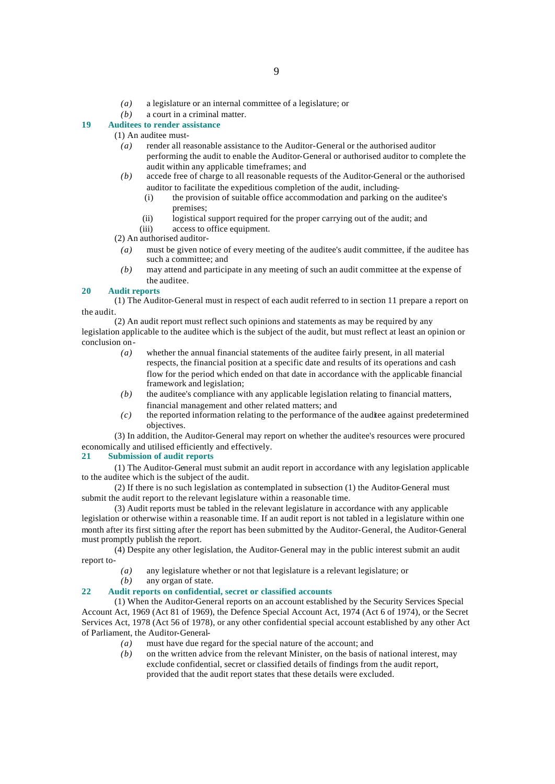- *(a)* a legislature or an internal committee of a legislature; or
- *(b)* a court in a criminal matter.

# **19 Auditees to render assistance**

(1) An auditee must-

- *(a)* render all reasonable assistance to the Auditor-General or the authorised auditor performing the audit to enable the Auditor-General or authorised auditor to complete the audit within any applicable timeframes; and
- *(b)* accede free of charge to all reasonable requests of the Auditor-General or the authorised auditor to facilitate the expeditious completion of the audit, including-
	- (i) the provision of suitable office accommodation and parking on the auditee's premises;
	- (ii) logistical support required for the proper carrying out of the audit; and
- (iii) access to office equipment.

(2) An authorised auditor-

- *(a)* must be given notice of every meeting of the auditee's audit committee, if the auditee has such a committee; and
- *(b)* may attend and participate in any meeting of such an audit committee at the expense of the auditee.

## **20 Audit reports**

(1) The Auditor-General must in respect of each audit referred to in section 11 prepare a report on the audit.

(2) An audit report must reflect such opinions and statements as may be required by any legislation applicable to the auditee which is the subject of the audit, but must reflect at least an opinion or conclusion on-

- *(a)* whether the annual financial statements of the auditee fairly present, in all material respects, the financial position at a specific date and results of its operations and cash flow for the period which ended on that date in accordance with the applicable financial framework and legislation;
- *(b)* the auditee's compliance with any applicable legislation relating to financial matters, financial management and other related matters; and
- *(c)* the reported information relating to the performance of the auditee against predetermined objectives.

(3) In addition, the Auditor-General may report on whether the auditee's resources were procured economically and utilised efficiently and effectively.

## **21 Submission of audit reports**

(1) The Auditor-General must submit an audit report in accordance with any legislation applicable to the auditee which is the subject of the audit.

(2) If there is no such legislation as contemplated in subsection (1) the Auditor-General must submit the audit report to the relevant legislature within a reasonable time.

(3) Audit reports must be tabled in the relevant legislature in accordance with any applicable legislation or otherwise within a reasonable time. If an audit report is not tabled in a legislature within one month after its first sitting after the report has been submitted by the Auditor-General, the Auditor-General must promptly publish the report.

(4) Despite any other legislation, the Auditor-General may in the public interest submit an audit report to-

*(a)* any legislature whether or not that legislature is a relevant legislature; or

any organ of state.

## **22 Audit reports on confidential, secret or classified accounts**

(1) When the Auditor-General reports on an account established by the Security Services Special Account Act, 1969 (Act 81 of 1969), the Defence Special Account Act, 1974 (Act 6 of 1974), or the Secret Services Act, 1978 (Act 56 of 1978), or any other confidential special account established by any other Act of Parliament, the Auditor-General-

- *(a)* must have due regard for the special nature of the account; and
- *(b)* on the written advice from the relevant Minister, on the basis of national interest, may exclude confidential, secret or classified details of findings from the audit report, provided that the audit report states that these details were excluded.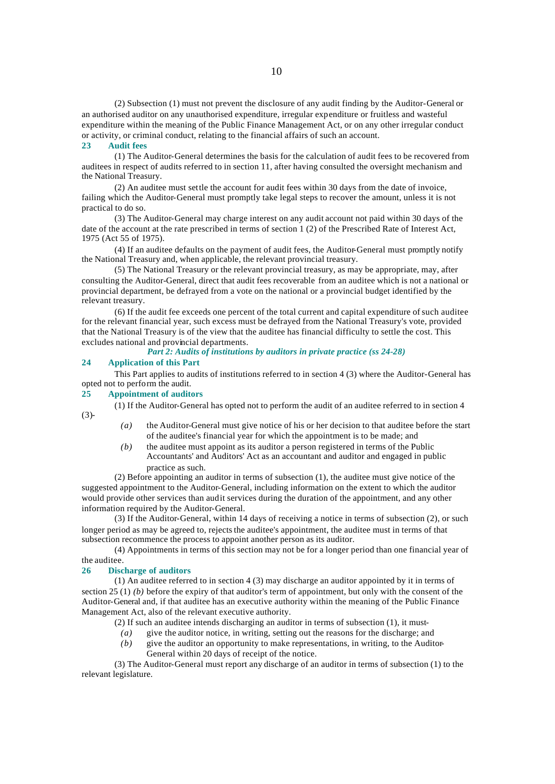(2) Subsection (1) must not prevent the disclosure of any audit finding by the Auditor-General or an authorised auditor on any unauthorised expenditure, irregular expenditure or fruitless and wasteful expenditure within the meaning of the Public Finance Management Act, or on any other irregular conduct or activity, or criminal conduct, relating to the financial affairs of such an account.

## **23 Audit fees**

(1) The Auditor-General determines the basis for the calculation of audit fees to be recovered from auditees in respect of audits referred to in section 11, after having consulted the oversight mechanism and the National Treasury.

(2) An auditee must settle the account for audit fees within 30 days from the date of invoice, failing which the Auditor-General must promptly take legal steps to recover the amount, unless it is not practical to do so.

(3) The Auditor-General may charge interest on any audit account not paid within 30 days of the date of the account at the rate prescribed in terms of section 1 (2) of the Prescribed Rate of Interest Act, 1975 (Act 55 of 1975).

(4) If an auditee defaults on the payment of audit fees, the Auditor-General must promptly notify the National Treasury and, when applicable, the relevant provincial treasury.

(5) The National Treasury or the relevant provincial treasury, as may be appropriate, may, after consulting the Auditor-General, direct that audit fees recoverable from an auditee which is not a national or provincial department, be defrayed from a vote on the national or a provincial budget identified by the relevant treasury.

(6) If the audit fee exceeds one percent of the total current and capital expenditure of such auditee for the relevant financial year, such excess must be defrayed from the National Treasury's vote, provided that the National Treasury is of the view that the auditee has financial difficulty to settle the cost. This excludes national and provincial departments.

## *Part 2: Audits of institutions by auditors in private practice (ss 24-28)*

## **24 Application of this Part**

This Part applies to audits of institutions referred to in section 4 (3) where the Auditor-General has opted not to perform the audit.

#### **25 Appointment of auditors**

(1) If the Auditor-General has opted not to perform the audit of an auditee referred to in section 4 (3)-

- *(a)* the Auditor-General must give notice of his or her decision to that auditee before the start of the auditee's financial year for which the appointment is to be made; and
- *(b)* the auditee must appoint as its auditor a person registered in terms of the Public Accountants' and Auditors' Act as an accountant and auditor and engaged in public practice as such.

(2) Before appointing an auditor in terms of subsection (1), the auditee must give notice of the suggested appointment to the Auditor-General, including information on the extent to which the auditor would provide other services than audit services during the duration of the appointment, and any other information required by the Auditor-General.

(3) If the Auditor-General, within 14 days of receiving a notice in terms of subsection (2), or such longer period as may be agreed to, rejects the auditee's appointment, the auditee must in terms of that subsection recommence the process to appoint another person as its auditor.

(4) Appointments in terms of this section may not be for a longer period than one financial year of the auditee.

#### **26 Discharge of auditors**

(1) An auditee referred to in section 4 (3) may discharge an auditor appointed by it in terms of section 25 (1) *(b)* before the expiry of that auditor's term of appointment, but only with the consent of the Auditor-General and, if that auditee has an executive authority within the meaning of the Public Finance Management Act, also of the relevant executive authority.

(2) If such an auditee intends discharging an auditor in terms of subsection (1), it must-

- *(a)* give the auditor notice, in writing, setting out the reasons for the discharge; and
- *(b)* give the auditor an opportunity to make representations, in writing, to the Auditor-
	- General within 20 days of receipt of the notice.

(3) The Auditor-General must report any discharge of an auditor in terms of subsection (1) to the relevant legislature.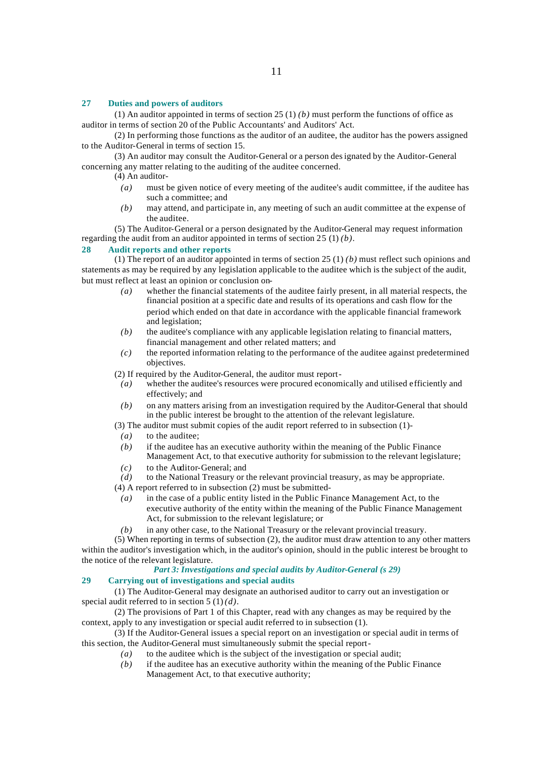#### **27 Duties and powers of auditors**

(1) An auditor appointed in terms of section 25 (1) *(b)* must perform the functions of office as auditor in terms of section 20 of the Public Accountants' and Auditors' Act.

(2) In performing those functions as the auditor of an auditee, the auditor has the powers assigned to the Auditor-General in terms of section 15.

(3) An auditor may consult the Auditor-General or a person designated by the Auditor-General concerning any matter relating to the auditing of the auditee concerned.

(4) An auditor-

- *(a)* must be given notice of every meeting of the auditee's audit committee, if the auditee has such a committee; and
- *(b)* may attend, and participate in, any meeting of such an audit committee at the expense of the auditee.

(5) The Auditor-General or a person designated by the Auditor-General may request information regarding the audit from an auditor appointed in terms of section 25 (1) *(b)*.

# **28 Audit reports and other reports**

(1) The report of an auditor appointed in terms of section 25 (1) *(b)* must reflect such opinions and statements as may be required by any legislation applicable to the auditee which is the subject of the audit, but must reflect at least an opinion or conclusion on-

- *(a)* whether the financial statements of the auditee fairly present, in all material respects, the financial position at a specific date and results of its operations and cash flow for the period which ended on that date in accordance with the applicable financial framework and legislation;
- *(b)* the auditee's compliance with any applicable legislation relating to financial matters, financial management and other related matters; and
- *(c)* the reported information relating to the performance of the auditee against predetermined objectives.

(2) If required by the Auditor-General, the auditor must report-

- *(a)* whether the auditee's resources were procured economically and utilised efficiently and effectively; and
- *(b)* on any matters arising from an investigation required by the Auditor-General that should in the public interest be brought to the attention of the relevant legislature.
- (3) The auditor must submit copies of the audit report referred to in subsection (1)-
- *(a)* to the auditee;
- *(b)* if the auditee has an executive authority within the meaning of the Public Finance
- Management Act, to that executive authority for submission to the relevant legislature;
- *(c)* to the Auditor-General; and
- *(d)* to the National Treasury or the relevant provincial treasury, as may be appropriate.
- (4) A report referred to in subsection (2) must be submitted-
	- *(a)* in the case of a public entity listed in the Public Finance Management Act, to the executive authority of the entity within the meaning of the Public Finance Management Act, for submission to the relevant legislature; or
	- *(b)* in any other case, to the National Treasury or the relevant provincial treasury.

(5) When reporting in terms of subsection (2), the auditor must draw attention to any other matters within the auditor's investigation which, in the auditor's opinion, should in the public interest be brought to the notice of the relevant legislature.

# *Part 3: Investigations and special audits by Auditor-General (s 29)*

# **29 Carrying out of investigations and special audits**

(1) The Auditor-General may designate an authorised auditor to carry out an investigation or special audit referred to in section 5 (1) *(d)*.

(2) The provisions of Part 1 of this Chapter, read with any changes as may be required by the context, apply to any investigation or special audit referred to in subsection (1).

(3) If the Auditor-General issues a special report on an investigation or special audit in terms of this section, the Auditor-General must simultaneously submit the special report-

- *(a)* to the auditee which is the subject of the investigation or special audit;
- *(b)* if the auditee has an executive authority within the meaning of the Public Finance Management Act, to that executive authority;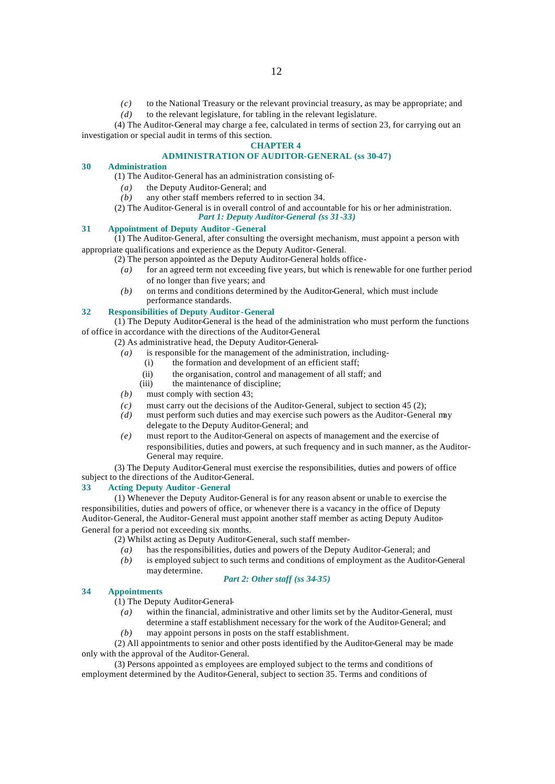*(c)* to the National Treasury or the relevant provincial treasury, as may be appropriate; and *(d)* to the relevant legislature, for tabling in the relevant legislature.

(4) The Auditor-General may charge a fee, calculated in terms of section 23, for carrying out an investigation or special audit in terms of this section.

## **CHAPTER 4**

# **ADMINISTRATION OF AUDITOR-GENERAL (ss 30-47)**

#### **30 Administration**

- (1) The Auditor-General has an administration consisting of-
	- *(a)* the Deputy Auditor-General; and
- *(b)* any other staff members referred to in section 34.
- (2) The Auditor-General is in overall control of and accountable for his or her administration. *Part 1: Deputy Auditor-General (ss 31-33)*

# **31 Appointment of Deputy Auditor -General**

(1) The Auditor-General, after consulting the oversight mechanism, must appoint a person with appropriate qualifications and experience as the Deputy Auditor-General.

- (2) The person appointed as the Deputy Auditor-General holds office-
	- *(a)* for an agreed term not exceeding five years, but which is renewable for one further period of no longer than five years; and
	- *(b)* on terms and conditions determined by the Auditor-General, which must include performance standards.

## **32 Responsibilities of Deputy Auditor-General**

 $(1)$  The Deputy Auditor-General is the head of the administration who must perform the functions of office in accordance with the directions of the Auditor-General.

(2) As administrative head, the Deputy Auditor-General-

- *(a)* is responsible for the management of the administration, including-
	- (i) the formation and development of an efficient staff;
	- (ii) the organisation, control and management of all staff; and
	- (iii) the maintenance of discipline;
- *(b)* must comply with section 43;
- *(c)* must carry out the decisions of the Auditor-General, subject to section 45 (2);
- *(d)* must perform such duties and may exercise such powers as the Auditor-General may delegate to the Deputy Auditor-General; and
- *(e)* must report to the Auditor-General on aspects of management and the exercise of responsibilities, duties and powers, at such frequency and in such manner, as the Auditor-General may require.

(3) The Deputy Auditor-General must exercise the responsibilities, duties and powers of office subject to the directions of the Auditor-General.

## **33 Acting Deputy Auditor -General**

(1) Whenever the Deputy Auditor-General is for any reason absent or unable to exercise the responsibilities, duties and powers of office, or whenever there is a vacancy in the office of Deputy Auditor-General, the Auditor-General must appoint another staff member as acting Deputy Auditor-General for a period not exceeding six months.

(2) Whilst acting as Deputy Auditor-General, such staff member-

- *(a)* has the responsibilities, duties and powers of the Deputy Auditor-General; and
- *(b)* is employed subject to such terms and conditions of employment as the Auditor-General may determine.

## *Part 2: Other staff (ss 34-35)*

## **34 Appointments**

(1) The Deputy Auditor-General-

- *(a)* within the financial, administrative and other limits set by the Auditor-General, must determine a staff establishment necessary for the work of the Auditor-General; and
- *(b)* may appoint persons in posts on the staff establishment.

(2) All appointments to senior and other posts identified by the Auditor-General may be made only with the approval of the Auditor-General.

(3) Persons appointed as employees are employed subject to the terms and conditions of employment determined by the Auditor-General, subject to section 35. Terms and conditions of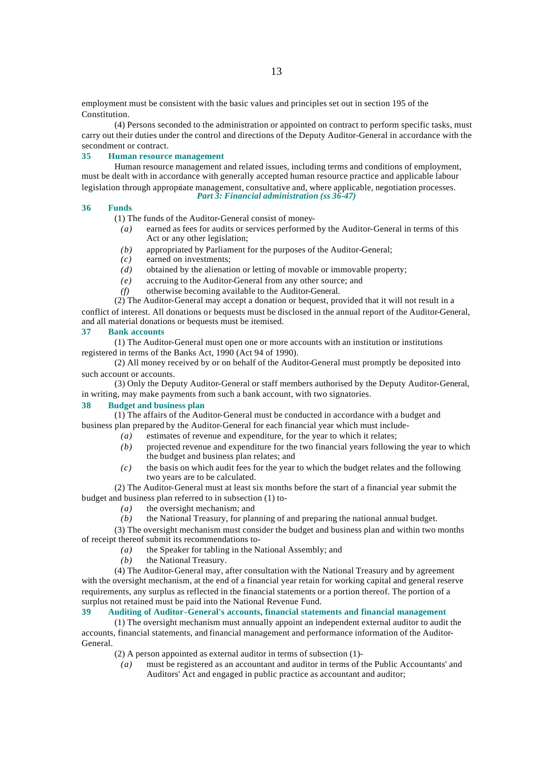employment must be consistent with the basic values and principles set out in section 195 of the Constitution.

(4) Persons seconded to the administration or appointed on contract to perform specific tasks, must carry out their duties under the control and directions of the Deputy Auditor-General in accordance with the secondment or contract.

## **35 Human resource management**

Human resource management and related issues, including terms and conditions of employment, must be dealt with in accordance with generally accepted human resource practice and applicable labour legislation through appropriate management, consultative and, where applicable, negotiation processes. *Part 3: Financial administration (ss 36-47)*

#### **36 Funds**

(1) The funds of the Auditor-General consist of money-

- *(a)* earned as fees for audits or services performed by the Auditor-General in terms of this Act or any other legislation;
- *(b)* appropriated by Parliament for the purposes of the Auditor-General;
- *(c)* earned on investments;
- *(d)* obtained by the alienation or letting of movable or immovable property;
- *(e)* accruing to the Auditor-General from any other source; and
- *(f)* otherwise becoming available to the Auditor-General.

(2) The Auditor-General may accept a donation or bequest, provided that it will not result in a conflict of interest. All donations or bequests must be disclosed in the annual report of the Auditor-General, and all material donations or bequests must be itemised.

## **37 Bank accounts**

(1) The Auditor-General must open one or more accounts with an institution or institutions registered in terms of the Banks Act, 1990 (Act 94 of 1990).

(2) All money received by or on behalf of the Auditor-General must promptly be deposited into such account or accounts.

(3) Only the Deputy Auditor-General or staff members authorised by the Deputy Auditor-General, in writing, may make payments from such a bank account, with two signatories.

## **38 Budget and business plan**

(1) The affairs of the Auditor-General must be conducted in accordance with a budget and business plan prepared by the Auditor-General for each financial year which must include-

- *(a)* estimates of revenue and expenditure, for the year to which it relates;
- *(b)* projected revenue and expenditure for the two financial years following the year to which the budget and business plan relates; and
- *(c)* the basis on which audit fees for the year to which the budget relates and the following two years are to be calculated.

(2) The Auditor-General must at least six months before the start of a financial year submit the budget and business plan referred to in subsection (1) to-

- *(a)* the oversight mechanism; and
- *(b)* the National Treasury, for planning of and preparing the national annual budget.

(3) The oversight mechanism must consider the budget and business plan and within two months of receipt thereof submit its recommendations to-

- *(a)* the Speaker for tabling in the National Assembly; and
- *(b)* the National Treasury.

(4) The Auditor-General may, after consultation with the National Treasury and by agreement with the oversight mechanism, at the end of a financial year retain for working capital and general reserve requirements, any surplus as reflected in the financial statements or a portion thereof. The portion of a surplus not retained must be paid into the National Revenue Fund.

# **39 Auditing of Auditor-General's accounts, financial statements and financial management**

(1) The oversight mechanism must annually appoint an independent external auditor to audit the accounts, financial statements, and financial management and performance information of the Auditor-General.

(2) A person appointed as external auditor in terms of subsection (1)-

*(a)* must be registered as an accountant and auditor in terms of the Public Accountants' and Auditors' Act and engaged in public practice as accountant and auditor;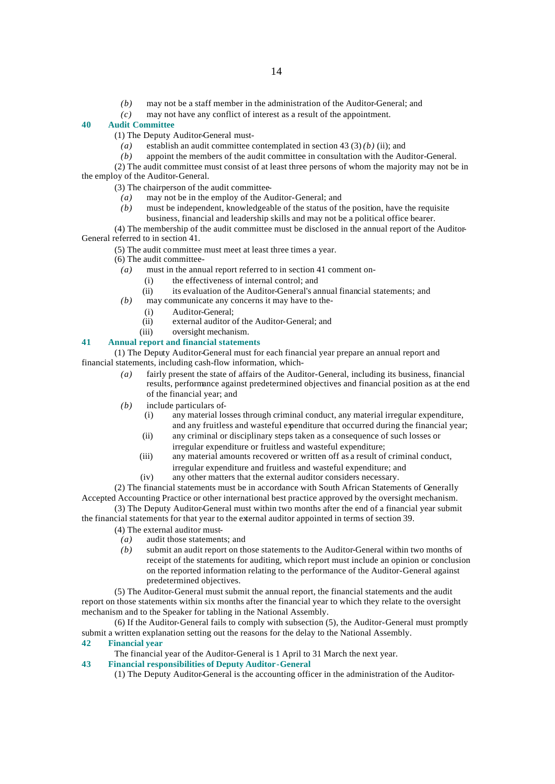- *(b)* may not be a staff member in the administration of the Auditor-General; and
- *(c)* may not have any conflict of interest as a result of the appointment.

## **40 Audit Committee**

- (1) The Deputy Auditor-General must-
	- *(a)* establish an audit committee contemplated in section 43 (3) *(b)* (ii); and
- *(b)* appoint the members of the audit committee in consultation with the Auditor-General.
- (2) The audit committee must consist of at least three persons of whom the majority may not be in the employ of the Auditor-General.
	- (3) The chairperson of the audit committee-
		- *(a)* may not be in the employ of the Auditor-General; and
		- *(b)* must be independent, knowledgeable of the status of the position, have the requisite business, financial and leadership skills and may not be a political office bearer.
- (4) The membership of the audit committee must be disclosed in the annual report of the Auditor-General referred to in section 41.
	- (5) The audit committee must meet at least three times a year.
	- (6) The audit committee-
	- *(a)* must in the annual report referred to in section 41 comment on-
		- (i) the effectiveness of internal control; and
		- (ii) its evaluation of the Auditor-General's annual financial statements; and
	- *(b)* may communicate any concerns it may have to the-
		- (i) Auditor-General;
		- (ii) external auditor of the Auditor-General; and
		- (iii) oversight mechanism.

# **41 Annual report and financial statements**

(1) The Deputy Auditor-General must for each financial year prepare an annual report and financial statements, including cash-flow information, which-

- *(a)* fairly present the state of affairs of the Auditor-General, including its business, financial results, performance against predetermined objectives and financial position as at the end of the financial year; and
- *(b)* include particulars of-
	- (i) any material losses through criminal conduct, any material irregular expenditure, and any fruitless and wasteful expenditure that occurred during the financial year;
	- (ii) any criminal or disciplinary steps taken as a consequence of such losses or irregular expenditure or fruitless and wasteful expenditure;
	- (iii) any material amounts recovered or written off as a result of criminal conduct, irregular expenditure and fruitless and wasteful expenditure; and
	- (iv) any other matters that the external auditor considers necessary.

(2) The financial statements must be in accordance with South African Statements of Generally Accepted Accounting Practice or other international best practice approved by the oversight mechanism.

(3) The Deputy Auditor-General must within two months after the end of a financial year submit the financial statements for that year to the external auditor appointed in terms of section 39.

- (4) The external auditor must-
- *(a)* audit those statements; and
- *(b)* submit an audit report on those statements to the Auditor-General within two months of receipt of the statements for auditing, which report must include an opinion or conclusion on the reported information relating to the performance of the Auditor-General against predetermined objectives.

(5) The Auditor-General must submit the annual report, the financial statements and the audit report on those statements within six months after the financial year to which they relate to the oversight mechanism and to the Speaker for tabling in the National Assembly.

(6) If the Auditor-General fails to comply with subsection (5), the Auditor-General must promptly submit a written explanation setting out the reasons for the delay to the National Assembly.

## **42 Financial year**

The financial year of the Auditor-General is 1 April to 31 March the next year.

- **43 Financial responsibilities of Deputy Auditor-General** 
	- (1) The Deputy Auditor-General is the accounting officer in the administration of the Auditor-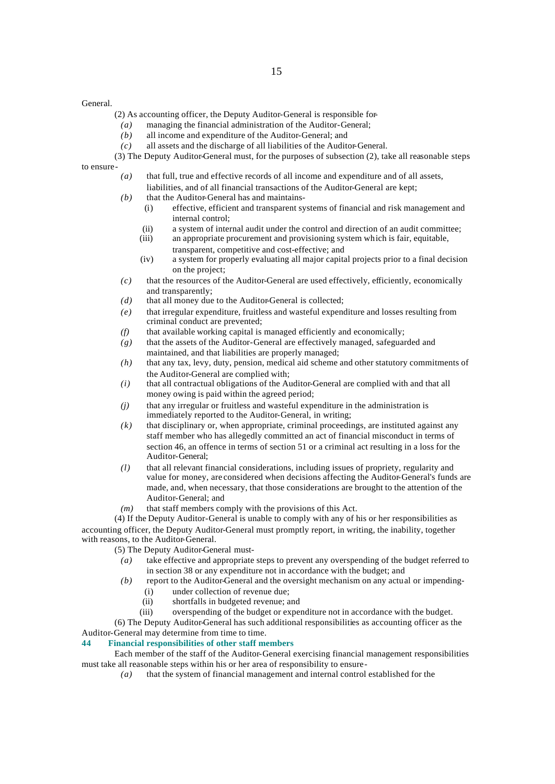#### General.

- (2) As accounting officer, the Deputy Auditor-General is responsible for-
- *(a)* managing the financial administration of the Auditor-General;
- *(b)* all income and expenditure of the Auditor-General; and
- *(c)* all assets and the discharge of all liabilities of the Auditor-General.
- (3) The Deputy Auditor-General must, for the purposes of subsection (2), take all reasonable steps to ensure-
	- *(a)* that full, true and effective records of all income and expenditure and of all assets, liabilities, and of all financial transactions of the Auditor-General are kept;
	- *(b)* that the Auditor-General has and maintains-
		- (i) effective, efficient and transparent systems of financial and risk management and internal control;
		- (ii) a system of internal audit under the control and direction of an audit committee;<br>(iii) an appropriate procurement and provisioning system which is fair, equitable,
		- an appropriate procurement and provisioning system which is fair, equitable, transparent, competitive and cost-effective; and
		- (iv) a system for properly evaluating all major capital projects prior to a final decision on the project;
	- *(c)* that the resources of the Auditor-General are used effectively, efficiently, economically and transparently;
	- *(d)* that all money due to the Auditor-General is collected;
	- *(e)* that irregular expenditure, fruitless and wasteful expenditure and losses resulting from criminal conduct are prevented;
	- *(f)* that available working capital is managed efficiently and economically;
	- *(g)* that the assets of the Auditor-General are effectively managed, safeguarded and maintained, and that liabilities are properly managed;
	- *(h)* that any tax, levy, duty, pension, medical aid scheme and other statutory commitments of the Auditor-General are complied with;
	- *(i)* that all contractual obligations of the Auditor-General are complied with and that all money owing is paid within the agreed period;
	- *(j)* that any irregular or fruitless and wasteful expenditure in the administration is immediately reported to the Auditor-General, in writing;
	- *(k)* that disciplinary or, when appropriate, criminal proceedings, are instituted against any staff member who has allegedly committed an act of financial misconduct in terms of section 46, an offence in terms of section 51 or a criminal act resulting in a loss for the Auditor-General;
	- *(l)* that all relevant financial considerations, including issues of propriety, regularity and value for money, are considered when decisions affecting the Auditor-General's funds are made, and, when necessary, that those considerations are brought to the attention of the Auditor-General; and
	- *(m)* that staff members comply with the provisions of this Act.

(4) If the Deputy Auditor-General is unable to comply with any of his or her responsibilities as accounting officer, the Deputy Auditor-General must promptly report, in writing, the inability, together with reasons, to the Auditor-General.

- (5) The Deputy Auditor-General must-
	- *(a)* take effective and appropriate steps to prevent any overspending of the budget referred to in section 38 or any expenditure not in accordance with the budget; and
	- *(b)* report to the Auditor-General and the oversight mechanism on any actual or impending-
		- (i) under collection of revenue due;
		- (ii) shortfalls in budgeted revenue; and
		- (iii) overspending of the budget or expenditure not in accordance with the budget.

(6) The Deputy Auditor-General has such additional responsibilities as accounting officer as the Auditor-General may determine from time to time.

## **44 Financial responsibilities of other staff members**

Each member of the staff of the Auditor-General exercising financial management responsibilities must take all reasonable steps within his or her area of responsibility to ensure-

*(a)* that the system of financial management and internal control established for the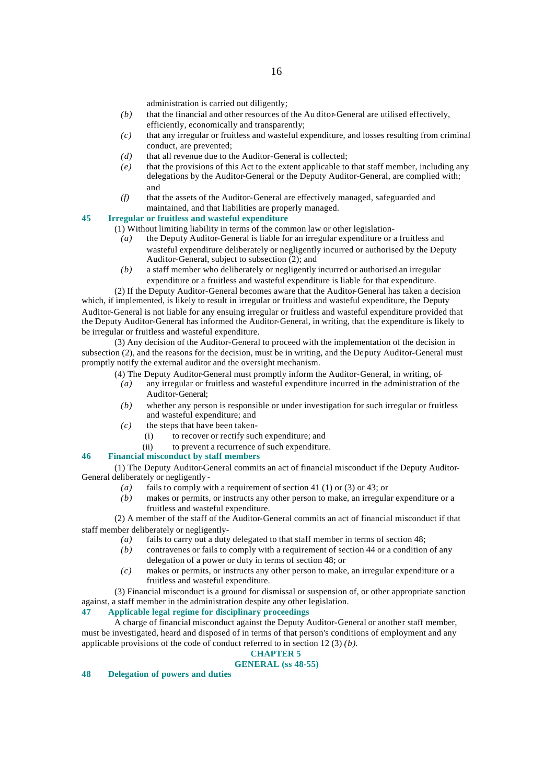administration is carried out diligently;

- *(b)* that the financial and other resources of the Au ditor-General are utilised effectively, efficiently, economically and transparently;
- *(c)* that any irregular or fruitless and wasteful expenditure, and losses resulting from criminal conduct, are prevented;
- *(d)* that all revenue due to the Auditor-General is collected;
- *(e)* that the provisions of this Act to the extent applicable to that staff member, including any delegations by the Auditor-General or the Deputy Auditor-General, are complied with; and
- *(f)* that the assets of the Auditor-General are effectively managed, safeguarded and maintained, and that liabilities are properly managed.

# **45 Irregular or fruitless and wasteful expenditure**

(1) Without limiting liability in terms of the common law or other legislation-

- *(a)* the Deputy Auditor-General is liable for an irregular expenditure or a fruitless and wasteful expenditure deliberately or negligently incurred or authorised by the Deputy Auditor-General, subject to subsection (2); and
- *(b)* a staff member who deliberately or negligently incurred or authorised an irregular expenditure or a fruitless and wasteful expenditure is liable for that expenditure.

(2) If the Deputy Auditor-General becomes aware that the Auditor-General has taken a decision which, if implemented, is likely to result in irregular or fruitless and wasteful expenditure, the Deputy Auditor-General is not liable for any ensuing irregular or fruitless and wasteful expenditure provided that the Deputy Auditor-General has informed the Auditor-General, in writing, that the expenditure is likely to be irregular or fruitless and wasteful expenditure.

(3) Any decision of the Auditor-General to proceed with the implementation of the decision in subsection (2), and the reasons for the decision, must be in writing, and the Deputy Auditor-General must promptly notify the external auditor and the oversight mechanism.

- (4) The Deputy Auditor-General must promptly inform the Auditor-General, in writing, of-
	- *(a)* any irregular or fruitless and wasteful expenditure incurred in the administration of the Auditor-General;
	- *(b)* whether any person is responsible or under investigation for such irregular or fruitless and wasteful expenditure; and
	- *(c)* the steps that have been taken-
		- (i) to recover or rectify such expenditure; and
		- (ii) to prevent a recurrence of such expenditure.

# **46 Financial misconduct by staff members**

(1) The Deputy Auditor-General commits an act of financial misconduct if the Deputy Auditor-General deliberately or negligently -

- *(a)* fails to comply with a requirement of section 41 (1) or (3) or 43; or
- *(b)* makes or permits, or instructs any other person to make, an irregular expenditure or a fruitless and wasteful expenditure.

(2) A member of the staff of the Auditor-General commits an act of financial misconduct if that staff member deliberately or negligently-

- *(a)* fails to carry out a duty delegated to that staff member in terms of section 48;
- *(b)* contravenes or fails to comply with a requirement of section 44 or a condition of any delegation of a power or duty in terms of section 48; or
- *(c)* makes or permits, or instructs any other person to make, an irregular expenditure or a fruitless and wasteful expenditure.

(3) Financial misconduct is a ground for dismissal or suspension of, or other appropriate sanction against, a staff member in the administration despite any other legislation.

# **47 Applicable legal regime for disciplinary proceedings**

A charge of financial misconduct against the Deputy Auditor-General or another staff member, must be investigated, heard and disposed of in terms of that person's conditions of employment and any applicable provisions of the code of conduct referred to in section 12 (3) *(b)*.

# **CHAPTER 5**

# **GENERAL (ss 48-55)**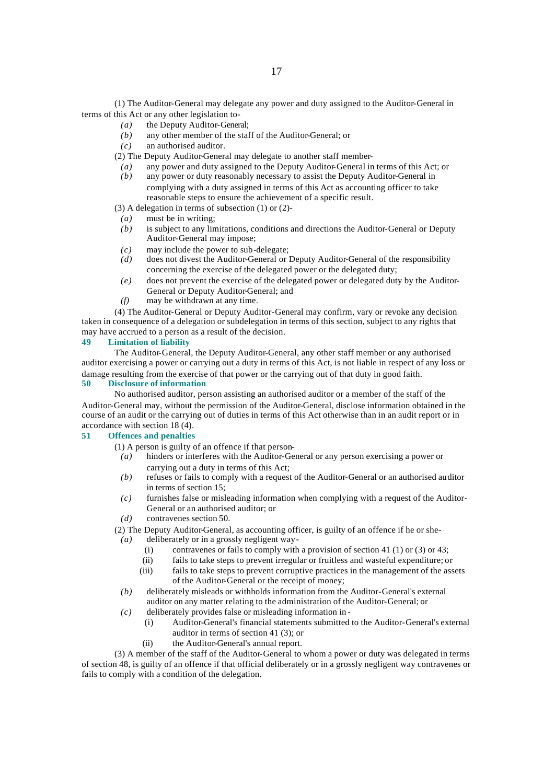(1) The Auditor-General may delegate any power and duty assigned to the Auditor-General in terms of this Act or any other legislation to-

- *(a)* the Deputy Auditor-General;
	- *(b)* any other member of the staff of the Auditor-General; or
- *(c)* an authorised auditor.
- (2) The Deputy Auditor-General may delegate to another staff member-
- *(a)* any power and duty assigned to the Deputy Auditor-General in terms of this Act; or
- *(b)* any power or duty reasonably necessary to assist the Deputy Auditor-General in complying with a duty assigned in terms of this Act as accounting officer to take reasonable steps to ensure the achievement of a specific result.

(3) A delegation in terms of subsection (1) or (2)-

- *(a)* must be in writing;
- *(b)* is subject to any limitations, conditions and directions the Auditor-General or Deputy Auditor-General may impose;
- *(c)* may include the power to sub-delegate;<br>*(d)* does not divest the Auditor-General or I
- does not divest the Auditor-General or Deputy Auditor-General of the responsibility concerning the exercise of the delegated power or the delegated duty;
- *(e)* does not prevent the exercise of the delegated power or delegated duty by the Auditor-General or Deputy Auditor-General; and
- *(f)* may be withdrawn at any time.

(4) The Auditor-General or Deputy Auditor-General may confirm, vary or revoke any decision taken in consequence of a delegation or subdelegation in terms of this section, subject to any rights that may have accrued to a person as a result of the decision.

## **49 Limitation of liability**

The Auditor-General, the Deputy Auditor-General, any other staff member or any authorised auditor exercising a power or carrying out a duty in terms of this Act, is not liable in respect of any loss or damage resulting from the exercise of that power or the carrying out of that duty in good faith.

#### **50 Disclosure of information**

No authorised auditor, person assisting an authorised auditor or a member of the staff of the Auditor-General may, without the permission of the Auditor-General, disclose information obtained in the course of an audit or the carrying out of duties in terms of this Act otherwise than in an audit report or in accordance with section 18 (4).

## **51 Offences and penalties**

(1) A person is guilty of an offence if that person-

- *(a)* hinders or interferes with the Auditor-General or any person exercising a power or carrying out a duty in terms of this Act;
- *(b)* refuses or fails to comply with a request of the Auditor-General or an authorised auditor in terms of section 15;
- *(c)* furnishes false or misleading information when complying with a request of the Auditor-General or an authorised auditor; or
- *(d)* contravenes section 50.
- (2) The Deputy Auditor-General, as accounting officer, is guilty of an offence if he or she-
	- *(a)* deliberately or in a grossly negligent way-
		- (i) contravenes or fails to comply with a provision of section 41 (1) or (3) or 43;
		- (ii) fails to take steps to prevent irregular or fruitless and wasteful expenditure; or
		- (iii) fails to take steps to prevent corruptive practices in the management of the assets of the Auditor-General or the receipt of money;
	- *(b)* deliberately misleads or withholds information from the Auditor-General's external auditor on any matter relating to the administration of the Auditor-General; or
	- *(c)* deliberately provides false or misleading information in
		- (i) Auditor-General's financial statements submitted to the Auditor-General's external auditor in terms of section 41 (3); or
		- (ii) the Auditor-General's annual report.

(3) A member of the staff of the Auditor-General to whom a power or duty was delegated in terms of section 48, is guilty of an offence if that official deliberately or in a grossly negligent way contravenes or fails to comply with a condition of the delegation.